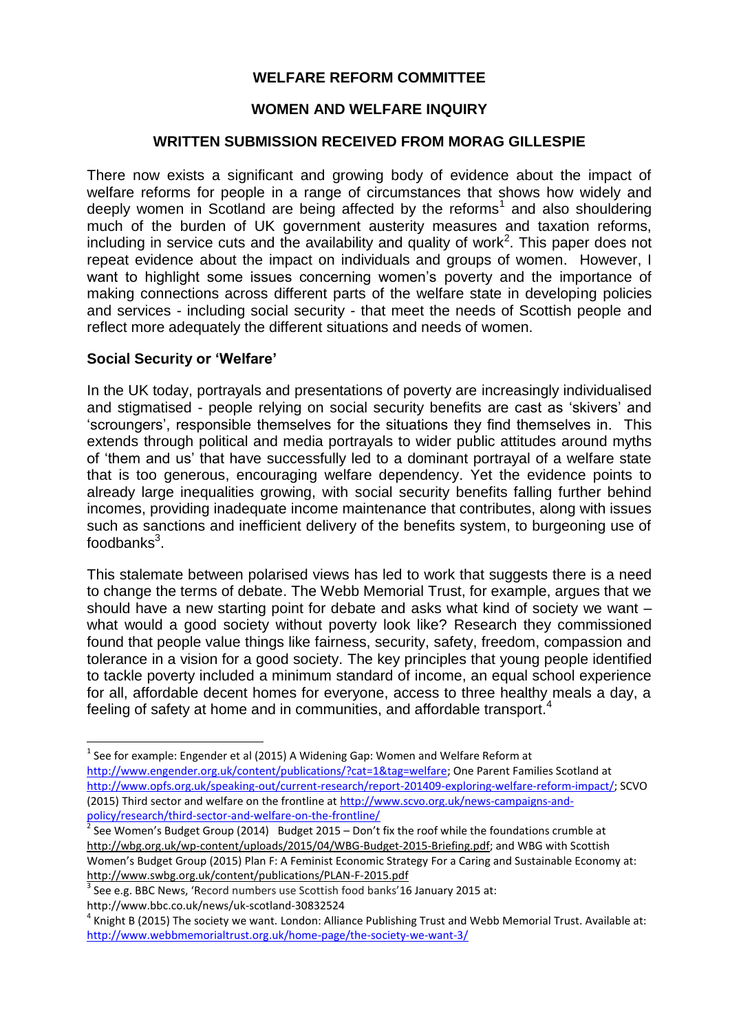### **WELFARE REFORM COMMITTEE**

### **WOMEN AND WELFARE INQUIRY**

### **WRITTEN SUBMISSION RECEIVED FROM MORAG GILLESPIE**

There now exists a significant and growing body of evidence about the impact of welfare reforms for people in a range of circumstances that shows how widely and deeply women in Scotland are being affected by the reforms<sup>1</sup> and also shouldering much of the burden of UK government austerity measures and taxation reforms, including in service cuts and the availability and quality of work<sup>2</sup>. This paper does not repeat evidence about the impact on individuals and groups of women. However, I want to highlight some issues concerning women's poverty and the importance of making connections across different parts of the welfare state in developing policies and services - including social security - that meet the needs of Scottish people and reflect more adequately the different situations and needs of women.

### **Social Security or 'Welfare'**

 $\overline{a}$ 

In the UK today, portrayals and presentations of poverty are increasingly individualised and stigmatised - people relying on social security benefits are cast as 'skivers' and 'scroungers', responsible themselves for the situations they find themselves in. This extends through political and media portrayals to wider public attitudes around myths of 'them and us' that have successfully led to a dominant portrayal of a welfare state that is too generous, encouraging welfare dependency. Yet the evidence points to already large inequalities growing, with social security benefits falling further behind incomes, providing inadequate income maintenance that contributes, along with issues such as sanctions and inefficient delivery of the benefits system, to burgeoning use of foodbanks $^3$ .

This stalemate between polarised views has led to work that suggests there is a need to change the terms of debate. The Webb Memorial Trust, for example, argues that we should have a new starting point for debate and asks what kind of society we want – what would a good society without poverty look like? Research they commissioned found that people value things like fairness, security, safety, freedom, compassion and tolerance in a vision for a good society. The key principles that young people identified to tackle poverty included a minimum standard of income, an equal school experience for all, affordable decent homes for everyone, access to three healthy meals a day, a feeling of safety at home and in communities, and affordable transport.<sup>4</sup>

 $^{1}$  See for example: Engender et al (2015) A Widening Gap: Women and Welfare Reform at [http://www.engender.org.uk/content/publications/?cat=1&tag=welfare;](http://www.engender.org.uk/content/publications/?cat=1&tag=welfare) One Parent Families Scotland at [http://www.opfs.org.uk/speaking-out/current-research/report-201409-exploring-welfare-reform-impact/;](http://www.opfs.org.uk/speaking-out/current-research/report-201409-exploring-welfare-reform-impact/) SCVO (2015) Third sector and welfare on the frontline at [http://www.scvo.org.uk/news-campaigns-and](http://www.scvo.org.uk/news-campaigns-and-policy/research/third-sector-and-welfare-on-the-frontline/)[policy/research/third-sector-and-welfare-on-the-frontline/](http://www.scvo.org.uk/news-campaigns-and-policy/research/third-sector-and-welfare-on-the-frontline/)

 $^{2}$  See Women's Budget Group (2014) Budget 2015 – Don't fix the roof while the foundations crumble at [http://wbg.org.uk/wp-content/uploads/2015/04/WBG-Budget-2015-Briefing.pdf;](http://wbg.org.uk/wp-content/uploads/2015/04/WBG-Budget-2015-Briefing.pdf) and WBG with Scottish Women's Budget Group (2015) Plan F: A Feminist Economic Strategy For a Caring and Sustainable Economy at: <http://www.swbg.org.uk/content/publications/PLAN-F-2015.pdf>

 $3$  See e.g. BBC News, 'Record numbers use Scottish food banks'16 January 2015 at: http://www.bbc.co.uk/news/uk-scotland-30832524

 $^4$  Knight B (2015) The society we want. London: Alliance Publishing Trust and Webb Memorial Trust. Available at: <http://www.webbmemorialtrust.org.uk/home-page/the-society-we-want-3/>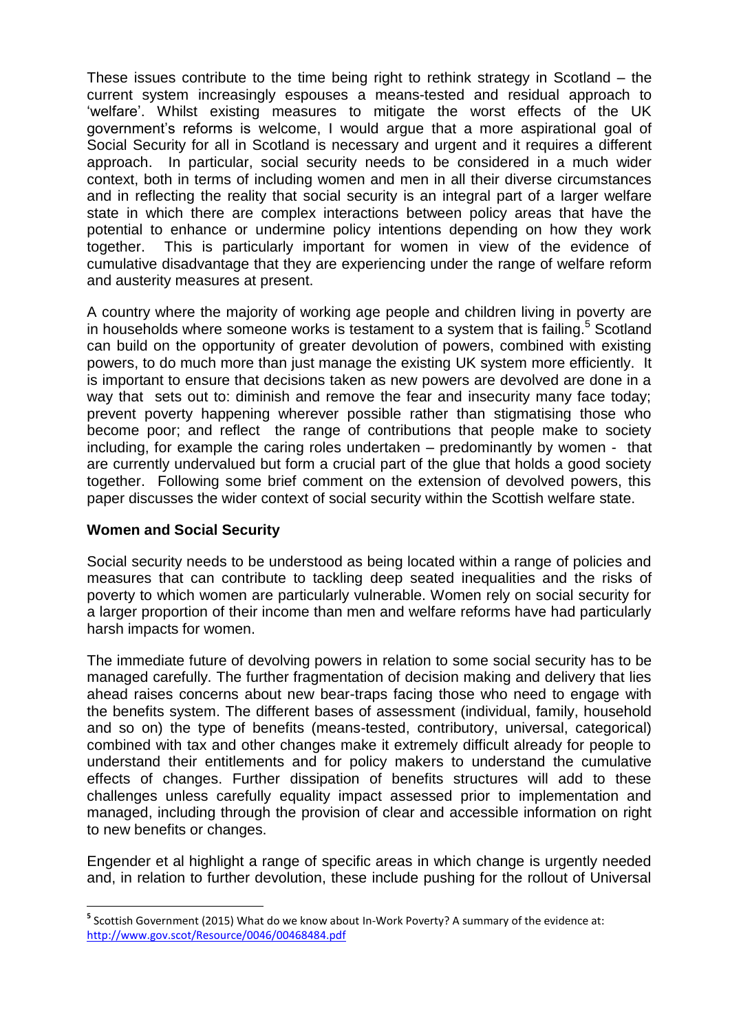These issues contribute to the time being right to rethink strategy in Scotland – the current system increasingly espouses a means-tested and residual approach to 'welfare'. Whilst existing measures to mitigate the worst effects of the UK government's reforms is welcome, I would argue that a more aspirational goal of Social Security for all in Scotland is necessary and urgent and it requires a different approach. In particular, social security needs to be considered in a much wider context, both in terms of including women and men in all their diverse circumstances and in reflecting the reality that social security is an integral part of a larger welfare state in which there are complex interactions between policy areas that have the potential to enhance or undermine policy intentions depending on how they work together. This is particularly important for women in view of the evidence of cumulative disadvantage that they are experiencing under the range of welfare reform and austerity measures at present.

A country where the majority of working age people and children living in poverty are in households where someone works is testament to a system that is failing.<sup>5</sup> Scotland can build on the opportunity of greater devolution of powers, combined with existing powers, to do much more than just manage the existing UK system more efficiently. It is important to ensure that decisions taken as new powers are devolved are done in a way that sets out to: diminish and remove the fear and insecurity many face today; prevent poverty happening wherever possible rather than stigmatising those who become poor; and reflect the range of contributions that people make to society including, for example the caring roles undertaken – predominantly by women - that are currently undervalued but form a crucial part of the glue that holds a good society together. Following some brief comment on the extension of devolved powers, this paper discusses the wider context of social security within the Scottish welfare state.

# **Women and Social Security**

Social security needs to be understood as being located within a range of policies and measures that can contribute to tackling deep seated inequalities and the risks of poverty to which women are particularly vulnerable. Women rely on social security for a larger proportion of their income than men and welfare reforms have had particularly harsh impacts for women.

The immediate future of devolving powers in relation to some social security has to be managed carefully. The further fragmentation of decision making and delivery that lies ahead raises concerns about new bear-traps facing those who need to engage with the benefits system. The different bases of assessment (individual, family, household and so on) the type of benefits (means-tested, contributory, universal, categorical) combined with tax and other changes make it extremely difficult already for people to understand their entitlements and for policy makers to understand the cumulative effects of changes. Further dissipation of benefits structures will add to these challenges unless carefully equality impact assessed prior to implementation and managed, including through the provision of clear and accessible information on right to new benefits or changes.

Engender et al highlight a range of specific areas in which change is urgently needed and, in relation to further devolution, these include pushing for the rollout of Universal

 **5** Scottish Government (2015) What do we know about In-Work Poverty? A summary of the evidence at: <http://www.gov.scot/Resource/0046/00468484.pdf>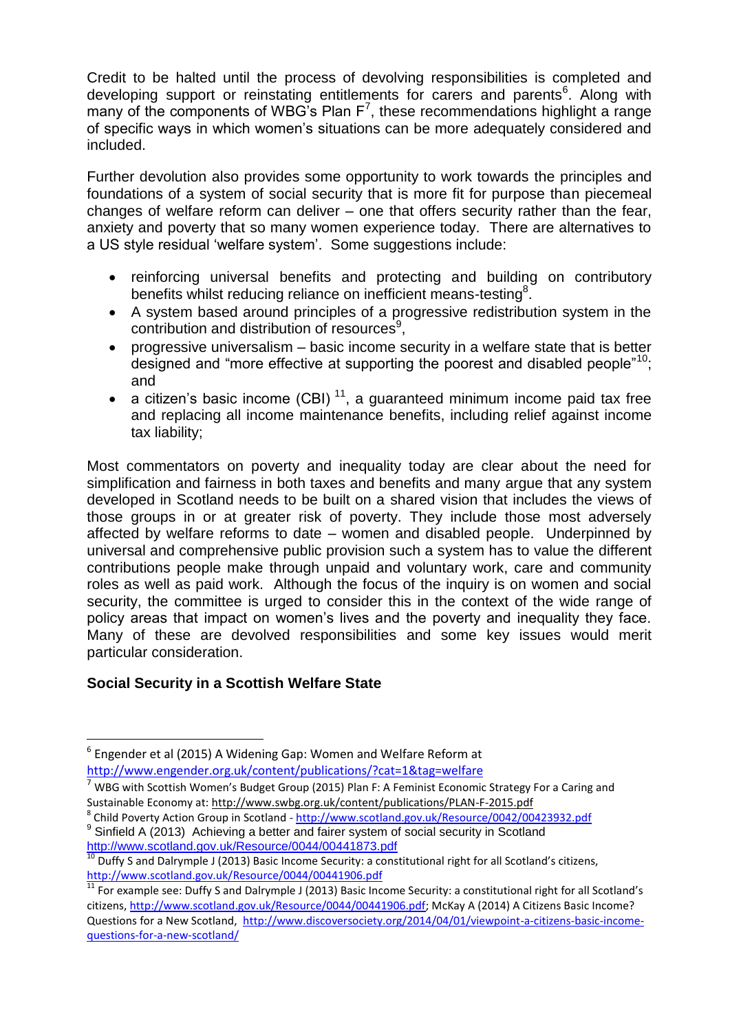Credit to be halted until the process of devolving responsibilities is completed and developing support or reinstating entitlements for carers and parents<sup>6</sup>. Along with many of the components of WBG's Plan  $F^7$ , these recommendations highlight a range of specific ways in which women's situations can be more adequately considered and included.

Further devolution also provides some opportunity to work towards the principles and foundations of a system of social security that is more fit for purpose than piecemeal changes of welfare reform can deliver – one that offers security rather than the fear, anxiety and poverty that so many women experience today. There are alternatives to a US style residual 'welfare system'. Some suggestions include:

- reinforcing universal benefits and protecting and building on contributory benefits whilst reducing reliance on inefficient means-testing<sup>8</sup>.
- A system based around principles of a progressive redistribution system in the contribution and distribution of resources<sup>9</sup>,
- progressive universalism basic income security in a welfare state that is better designed and "more effective at supporting the poorest and disabled people"<sup>10</sup>: and
- a citizen's basic income (CBI)<sup>11</sup>, a quaranteed minimum income paid tax free and replacing all income maintenance benefits, including relief against income tax liability;

Most commentators on poverty and inequality today are clear about the need for simplification and fairness in both taxes and benefits and many argue that any system developed in Scotland needs to be built on a shared vision that includes the views of those groups in or at greater risk of poverty. They include those most adversely affected by welfare reforms to date – women and disabled people. Underpinned by universal and comprehensive public provision such a system has to value the different contributions people make through unpaid and voluntary work, care and community roles as well as paid work. Although the focus of the inquiry is on women and social security, the committee is urged to consider this in the context of the wide range of policy areas that impact on women's lives and the poverty and inequality they face. Many of these are devolved responsibilities and some key issues would merit particular consideration.

# **Social Security in a Scottish Welfare State**

 $\overline{\phantom{a}}$ 

<sup>6</sup> Engender et al (2015) A Widening Gap: Women and Welfare Reform at <http://www.engender.org.uk/content/publications/?cat=1&tag=welfare>

 $7$  WBG with Scottish Women's Budget Group (2015) Plan F: A Feminist Economic Strategy For a Caring and Sustainable Economy at[: http://www.swbg.org.uk/content/publications/PLAN-F-2015.pdf](http://www.swbg.org.uk/content/publications/PLAN-F-2015.pdf)

<sup>8</sup> Child Poverty Action Group in Scotland - <http://www.scotland.gov.uk/Resource/0042/00423932.pdf> <sup>9</sup> Sinfield A (2013) Achieving a better and fairer system of social security in Scotland

<http://www.scotland.gov.uk/Resource/0044/00441873.pdf>  $^{10}$  Duffy S and Dalrymple J (2013) Basic Income Security: a constitutional right for all Scotland's citizens, <http://www.scotland.gov.uk/Resource/0044/00441906.pdf>

<sup>&</sup>lt;sup>11</sup> For example see: Duffy S and Dalrymple J (2013) Basic Income Security: a constitutional right for all Scotland's citizens, [http://www.scotland.gov.uk/Resource/0044/00441906.pdf;](http://www.scotland.gov.uk/Resource/0044/00441906.pdf) McKay A (2014) A Citizens Basic Income? Questions for a New Scotland, [http://www.discoversociety.org/2014/04/01/viewpoint-a-citizens-basic-income](http://www.discoversociety.org/2014/04/01/viewpoint-a-citizens-basic-income-questions-for-a-new-scotland/)[questions-for-a-new-scotland/](http://www.discoversociety.org/2014/04/01/viewpoint-a-citizens-basic-income-questions-for-a-new-scotland/)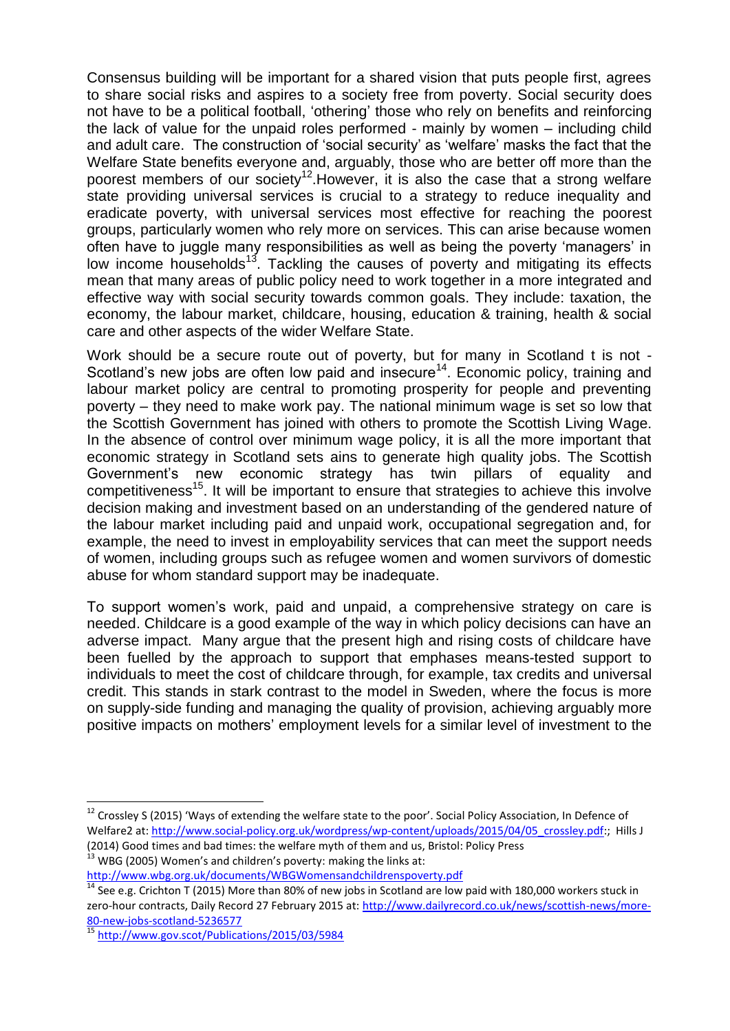Consensus building will be important for a shared vision that puts people first, agrees to share social risks and aspires to a society free from poverty. Social security does not have to be a political football, 'othering' those who rely on benefits and reinforcing the lack of value for the unpaid roles performed - mainly by women – including child and adult care. The construction of 'social security' as 'welfare' masks the fact that the Welfare State benefits everyone and, arguably, those who are better off more than the poorest members of our society<sup>12</sup>. However, it is also the case that a strong welfare state providing universal services is crucial to a strategy to reduce inequality and eradicate poverty, with universal services most effective for reaching the poorest groups, particularly women who rely more on services. This can arise because women often have to juggle many responsibilities as well as being the poverty 'managers' in low income households<sup>13</sup>. Tackling the causes of poverty and mitigating its effects mean that many areas of public policy need to work together in a more integrated and effective way with social security towards common goals. They include: taxation, the economy, the labour market, childcare, housing, education & training, health & social care and other aspects of the wider Welfare State.

Work should be a secure route out of poverty, but for many in Scotland t is not -Scotland's new jobs are often low paid and insecure<sup>14</sup>. Economic policy, training and labour market policy are central to promoting prosperity for people and preventing poverty – they need to make work pay. The national minimum wage is set so low that the Scottish Government has joined with others to promote the Scottish Living Wage. In the absence of control over minimum wage policy, it is all the more important that economic strategy in Scotland sets ains to generate high quality jobs. The Scottish Government's new economic strategy has twin pillars of equality and competitiveness<sup>15</sup>. It will be important to ensure that strategies to achieve this involve decision making and investment based on an understanding of the gendered nature of the labour market including paid and unpaid work, occupational segregation and, for example, the need to invest in employability services that can meet the support needs of women, including groups such as refugee women and women survivors of domestic abuse for whom standard support may be inadequate.

To support women's work, paid and unpaid, a comprehensive strategy on care is needed. Childcare is a good example of the way in which policy decisions can have an adverse impact. Many argue that the present high and rising costs of childcare have been fuelled by the approach to support that emphases means-tested support to individuals to meet the cost of childcare through, for example, tax credits and universal credit. This stands in stark contrast to the model in Sweden, where the focus is more on supply-side funding and managing the quality of provision, achieving arguably more positive impacts on mothers' employment levels for a similar level of investment to the

 $\overline{\phantom{a}}$ 

 $^{12}$  Crossley S (2015) 'Ways of extending the welfare state to the poor'. Social Policy Association, In Defence of Welfare2 at: [http://www.social-policy.org.uk/wordpress/wp-content/uploads/2015/04/05\\_crossley.pdf:](http://www.social-policy.org.uk/wordpress/wp-content/uploads/2015/04/05_crossley.pdf); Hills J

<sup>(2014)</sup> Good times and bad times: the welfare myth of them and us, Bristol: Policy Press  $^{13}$  WBG (2005) Women's and children's poverty: making the links at:

<http://www.wbg.org.uk/documents/WBGWomensandchildrenspoverty.pdf>

<sup>&</sup>lt;sup>14</sup> See e.g. Crichton T (2015) More than 80% of new jobs in Scotland are low paid with 180,000 workers stuck in zero-hour contracts, Daily Record 27 February 2015 at[: http://www.dailyrecord.co.uk/news/scottish-news/more-](http://www.dailyrecord.co.uk/news/scottish-news/more-80-new-jobs-scotland-5236577)[80-new-jobs-scotland-5236577](http://www.dailyrecord.co.uk/news/scottish-news/more-80-new-jobs-scotland-5236577)

<sup>15</sup> <http://www.gov.scot/Publications/2015/03/5984>